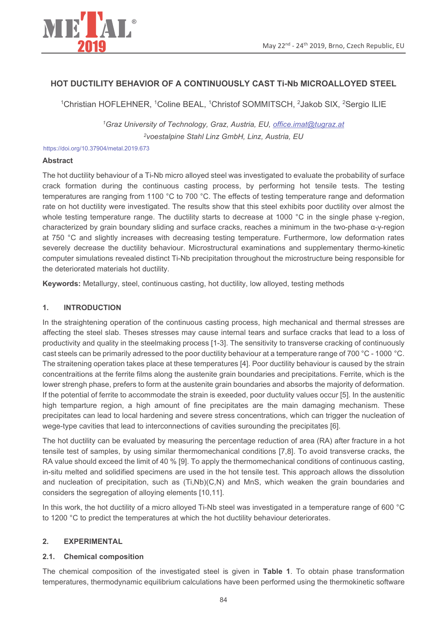

# HOT DUCTILITY BEHAVIOR OF A CONTINUOUSLY CAST TI-Nb MICROALLOYED STEEL

<sup>1</sup>Christian HOFLEHNER, <sup>1</sup>Coline BEAL, <sup>1</sup>Christof SOMMITSCH, <sup>2</sup>Jakob SIX, <sup>2</sup>Sergio ILIE

<sup>1</sup>Graz University of Technology, Graz, Austria, EU, office.imat@tugraz.at <sup>2</sup>voestalpine Stahl Linz GmbH, Linz, Austria, EU

https://doi.org/10.37904/metal.2019.673

## **Abstract**

The hot ductility behaviour of a Ti-Nb micro alloyed steel was investigated to evaluate the probability of surface crack formation during the continuous casting process, by performing hot tensile tests. The testing temperatures are ranging from 1100 °C to 700 °C. The effects of testing temperature range and deformation rate on hot ductility were investigated. The results show that this steel exhibits poor ductility over almost the whole testing temperature range. The ductility starts to decrease at 1000 °C in the single phase γ-region, characterized by grain boundary sliding and surface cracks, reaches a minimum in the two-phase  $\alpha$ -y-region at 750 °C and slightly increases with decreasing testing temperature. Furthermore, low deformation rates severely decrease the ductility behaviour. Microstructural examinations and supplementary thermo-kinetic computer simulations revealed distinct Ti-Nb precipitation throughout the microstructure being responsible for the deteriorated materials hot ductility.

Keywords: Metallurgy, steel, continuous casting, hot ductility, low alloyed, testing methods

#### $1.$ **INTRODUCTION**

In the straightening operation of the continuous casting process, high mechanical and thermal stresses are affecting the steel slab. Theses stresses may cause internal tears and surface cracks that lead to a loss of productivity and quality in the steelmaking process [1-3]. The sensitivity to transverse cracking of continuously cast steels can be primarily adressed to the poor ductility behaviour at a temperature range of 700 °C - 1000 °C. The straitening operation takes place at these temperatures [4]. Poor ductility behaviour is caused by the strain concentraitions at the ferrite films along the austenite grain boundaries and precipitations. Ferrite, which is the lower strengh phase, prefers to form at the austenite grain boundaries and absorbs the majority of deformation. If the potential of ferrite to accommodate the strain is exeeded, poor ductulity values occur [5]. In the austenitic high temparture region, a high amount of fine precipitates are the main damaging mechanism. These precipitates can lead to local hardening and severe stress concentrations, which can trigger the nucleation of wege-type cavities that lead to interconnections of cavities surounding the precipitates [6].

The hot ductility can be evaluated by measuring the percentage reduction of area (RA) after fracture in a hot tensile test of samples, by using similar thermomechanical conditions [7,8]. To avoid transverse cracks, the RA value should exceed the limit of 40 % [9]. To apply the thermomechanical conditions of continuous casting, in-situ melted and solidified specimens are used in the hot tensile test. This approach allows the dissolution and nucleation of precipitation, such as (Ti,Nb)(C,N) and MnS, which weaken the grain boundaries and considers the segregation of alloying elements [10,11].

In this work, the hot ductility of a micro alloved Ti-Nb steel was investigated in a temperature range of 600 °C to 1200 °C to predict the temperatures at which the hot ductility behaviour deteriorates.

#### $2<sup>2</sup>$ **EXPERIMENTAL**

#### $2.1.$ **Chemical composition**

The chemical composition of the investigated steel is given in Table 1. To obtain phase transformation temperatures, thermodynamic equilibrium calculations have been performed using the thermokinetic software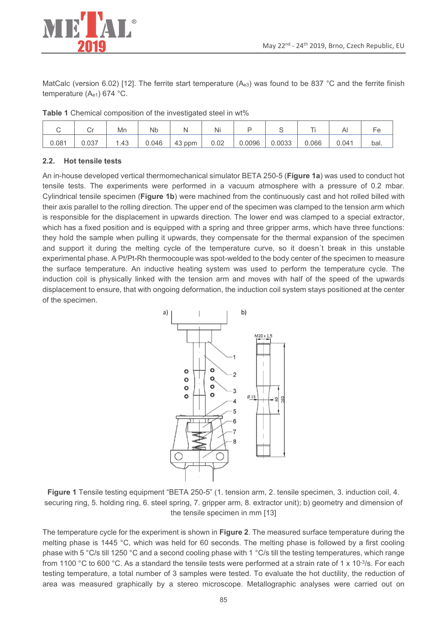

MatCalc (version 6.02) [12]. The ferrite start temperature (Ae3) was found to be 837 °C and the ferrite finish temperature (Ae1) 674 °C.

Table 1 Chemical composition of the investigated steel in wt%

|       |       | Mn    | <b>Nb</b> |        | .<br>Nı |        |        |       |       |      |
|-------|-------|-------|-----------|--------|---------|--------|--------|-------|-------|------|
| 0.081 | 0.037 | . .43 | 0.046     | 43 ppm | 0.02    | 0.0096 | 0.0033 | 0.066 | 0.041 | bal. |

#### $2.2.$ **Hot tensile tests**

An in-house developed vertical thermomechanical simulator BETA 250-5 (Figure 1a) was used to conduct hot tensile tests. The experiments were performed in a vacuum atmosphere with a pressure of 0.2 mbar. Cylindrical tensile specimen (Figure 1b) were machined from the continuously cast and hot rolled billed with their axis parallel to the rolling direction. The upper end of the specimen was clamped to the tension arm which is responsible for the displacement in upwards direction. The lower end was clamped to a special extractor, which has a fixed position and is equipped with a spring and three gripper arms, which have three functions: they hold the sample when pulling it upwards, they compensate for the thermal expansion of the specimen and support it during the melting cycle of the temperature curve, so it doesn't break in this unstable experimental phase. A Pt/Pt-Rh thermocouple was spot-welded to the body center of the specimen to measure the surface temperature. An inductive heating system was used to perform the temperature cycle. The induction coil is physically linked with the tension arm and moves with half of the speed of the upwards displacement to ensure, that with ongoing deformation, the induction coil system stays positioned at the center of the specimen.



Figure 1 Tensile testing equipment "BETA 250-5" (1. tension arm, 2. tensile specimen, 3. induction coil, 4. securing ring, 5. holding ring, 6. steel spring, 7. gripper arm, 8. extractor unit); b) geometry and dimension of the tensile specimen in mm [13]

The temperature cycle for the experiment is shown in Figure 2. The measured surface temperature during the melting phase is 1445 °C, which was held for 60 seconds. The melting phase is followed by a first cooling phase with 5 °C/s till 1250 °C and a second cooling phase with 1 °C/s till the testing temperatures, which range from 1100 °C to 600 °C. As a standard the tensile tests were performed at a strain rate of 1 x 10<sup>-3</sup>/s. For each testing temperature, a total number of 3 samples were tested. To evaluate the hot ductility, the reduction of area was measured graphically by a stereo microscope. Metallographic analyses were carried out on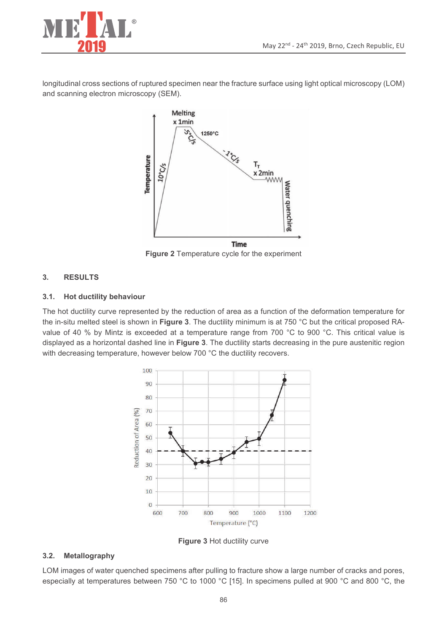

longitudinal cross sections of ruptured specimen near the fracture surface using light optical microscopy (LOM) and scanning electron microscopy (SEM).



Figure 2 Temperature cycle for the experiment

#### $3.$ **RESULTS**

#### **Hot ductility behaviour**  $3.1.$

The hot ductility curve represented by the reduction of area as a function of the deformation temperature for the in-situ melted steel is shown in Figure 3. The ductility minimum is at 750 °C but the critical proposed RAvalue of 40 % by Mintz is exceeded at a temperature range from 700 °C to 900 °C. This critical value is displayed as a horizontal dashed line in Figure 3. The ductility starts decreasing in the pure austenitic region with decreasing temperature, however below 700 °C the ductility recovers.



Figure 3 Hot ductility curve

#### $3.2.$ Metallography

LOM images of water quenched specimens after pulling to fracture show a large number of cracks and pores, especially at temperatures between 750 °C to 1000 °C [15]. In specimens pulled at 900 °C and 800 °C, the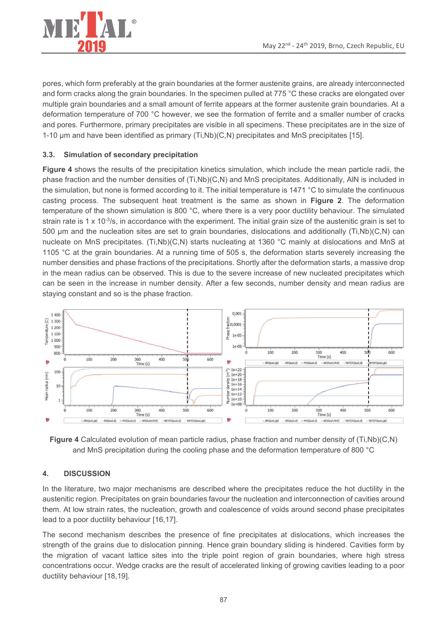

pores, which form preferably at the grain boundaries at the former austenite grains, are already interconnected and form cracks along the grain boundaries. In the specimen pulled at 775 °C these cracks are elongated over multiple grain boundaries and a small amount of ferrite appears at the former austenite grain boundaries. At a deformation temperature of 700 °C however, we see the formation of ferrite and a smaller number of cracks and pores. Furthermore, primary precipitates are visible in all specimens. These precipitates are in the size of 1-10 µm and have been identified as primary (Ti,Nb)(C,N) precipitates and MnS precipitates [15].

### $3.3.$ Simulation of secondary precipitation

Figure 4 shows the results of the precipitation kinetics simulation, which include the mean particle radii, the phase fraction and the number densities of (Ti,Nb)(C,N) and MnS precipitates. Additionally, AIN is included in the simulation, but none is formed according to it. The initial temperature is 1471 °C to simulate the continuous casting process. The subsequent heat treatment is the same as shown in Figure 2. The deformation temperature of the shown simulation is 800 °C, where there is a very poor ductility behaviour. The simulated strain rate is 1 x 10 $3$ /s, in accordance with the experiment. The initial grain size of the austenitic grain is set to 500 µm and the nucleation sites are set to grain boundaries, dislocations and additionally (Ti,Nb)(C,N) can nucleate on MnS precipitates. (Ti,Nb)(C,N) starts nucleating at 1360 °C mainly at dislocations and MnS at 1105 °C at the grain boundaries. At a running time of 505 s, the deformation starts severely increasing the number densities and phase fractions of the precipitations. Shortly after the deformation starts, a massive drop in the mean radius can be observed. This is due to the severe increase of new nucleated precipitates which can be seen in the increase in number density. After a few seconds, number density and mean radius are staying constant and so is the phase fraction.



Figure 4 Calculated evolution of mean particle radius, phase fraction and number density of (Ti,Nb)(C,N) and MnS precipitation during the cooling phase and the deformation temperature of 800 °C

### $\overline{4}$ . **DISCUSSION**

In the literature, two major mechanisms are described where the precipitates reduce the hot ductility in the austenitic region. Precipitates on grain boundaries favour the nucleation and interconnection of cavities around them. At low strain rates, the nucleation, growth and coalescence of voids around second phase precipitates lead to a poor ductility behaviour [16,17].

The second mechanism describes the presence of fine precipitates at dislocations, which increases the strength of the grains due to dislocation pinning. Hence grain boundary sliding is hindered. Cavities form by the migration of vacant lattice sites into the triple point region of grain boundaries, where high stress concentrations occur. Wedge cracks are the result of accelerated linking of growing cavities leading to a poor ductility behaviour [18,19].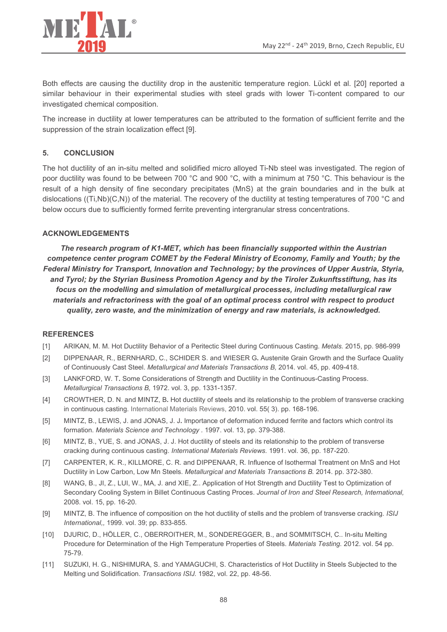

Both effects are causing the ductility drop in the austenitic temperature region. Lückl et al. [20] reported a similar behaviour in their experimental studies with steel grads with lower Ti-content compared to our investigated chemical composition.

The increase in ductility at lower temperatures can be attributed to the formation of sufficient ferrite and the suppression of the strain localization effect [9].

### 5. **CONCLUSION**

The hot ductility of an in-situ melted and solidified micro alloyed Ti-Nb steel was investigated. The region of poor ductility was found to be between 700 °C and 900 °C, with a minimum at 750 °C. This behaviour is the result of a high density of fine secondary precipitates (MnS) at the grain boundaries and in the bulk at dislocations ( $(Ti, Nb)(C,N)$ ) of the material. The recovery of the ductility at testing temperatures of 700 °C and below occurs due to sufficiently formed ferrite preventing intergranular stress concentrations.

## **ACKNOWLEDGEMENTS**

The research program of K1-MET, which has been financially supported within the Austrian competence center program COMET by the Federal Ministry of Economy, Family and Youth; by the Federal Ministry for Transport, Innovation and Technology; by the provinces of Upper Austria, Styria, and Tyrol; by the Styrian Business Promotion Agency and by the Tiroler Zukunftsstiftung, has its focus on the modelling and simulation of metallurgical processes, including metallurgical raw materials and refractoriness with the goal of an optimal process control with respect to product quality, zero waste, and the minimization of energy and raw materials, is acknowledged.

## **REFERENCES**

- ARIKAN, M. M. Hot Ductility Behavior of a Peritectic Steel during Continuous Casting. Metals. 2015, pp. 986-999  $[1]$
- DIPPENAAR, R., BERNHARD, C., SCHIDER S. and WIESER G. Austenite Grain Growth and the Surface Quality  $[2]$ of Continuously Cast Steel. Metallurgical and Materials Transactions B, 2014. vol. 45, pp. 409-418.
- $\lceil 3 \rceil$ LANKFORD, W. T. Some Considerations of Strength and Ductility in the Continuous-Casting Process. Metallurgical Transactions B, 1972. vol. 3, pp. 1331-1357.
- $[4]$ CROWTHER, D. N. and MINTZ, B. Hot ductility of steels and its relationship to the problem of transverse cracking in continuous casting. International Materials Reviews, 2010. vol. 55(3). pp. 168-196.
- $\lceil 5 \rceil$ MINTZ, B., LEWIS, J. and JONAS, J. J. Importance of deformation induced ferrite and factors which control its formation. Materials Science and Technology . 1997. vol. 13, pp. 379-388.
- MINTZ, B., YUE, S. and JONAS, J. J. Hot ductility of steels and its relationship to the problem of transverse  $[6]$ cracking during continuous casting. International Materials Reviews. 1991. vol. 36, pp. 187-220.
- CARPENTER, K. R., KILLMORE, C. R. and DIPPENAAR, R. Influence of Isothermal Treatment on MnS and Hot  $\lceil 7 \rceil$ Ductility in Low Carbon, Low Mn Steels. Metallurgical and Materials Transactions B. 2014. pp. 372-380.
- $[8]$ WANG, B., JI, Z., LUI, W., MA, J. and XIE, Z.. Application of Hot Strength and Ductility Test to Optimization of Secondary Cooling System in Billet Continuous Casting Proces. Journal of Iron and Steel Research, International, 2008. vol. 15, pp. 16-20.
- $[9]$ MINTZ, B. The influence of composition on the hot ductility of stells and the problem of transverse cracking. ISIJ International., 1999, vol. 39; pp. 833-855.
- DJURIC, D., HÖLLER, C., OBERROITHER, M., SONDEREGGER, B., and SOMMITSCH, C.. In-situ Melting  $[10]$ Procedure for Determination of the High Temperature Properties of Steels. Materials Testing. 2012. vol. 54 pp. 75-79.
- SUZUKI, H. G., NISHIMURA, S. and YAMAGUCHI, S. Characteristics of Hot Ductility in Steels Subjected to the  $[11]$ Melting und Solidification. Transactions ISIJ. 1982, vol. 22, pp. 48-56.